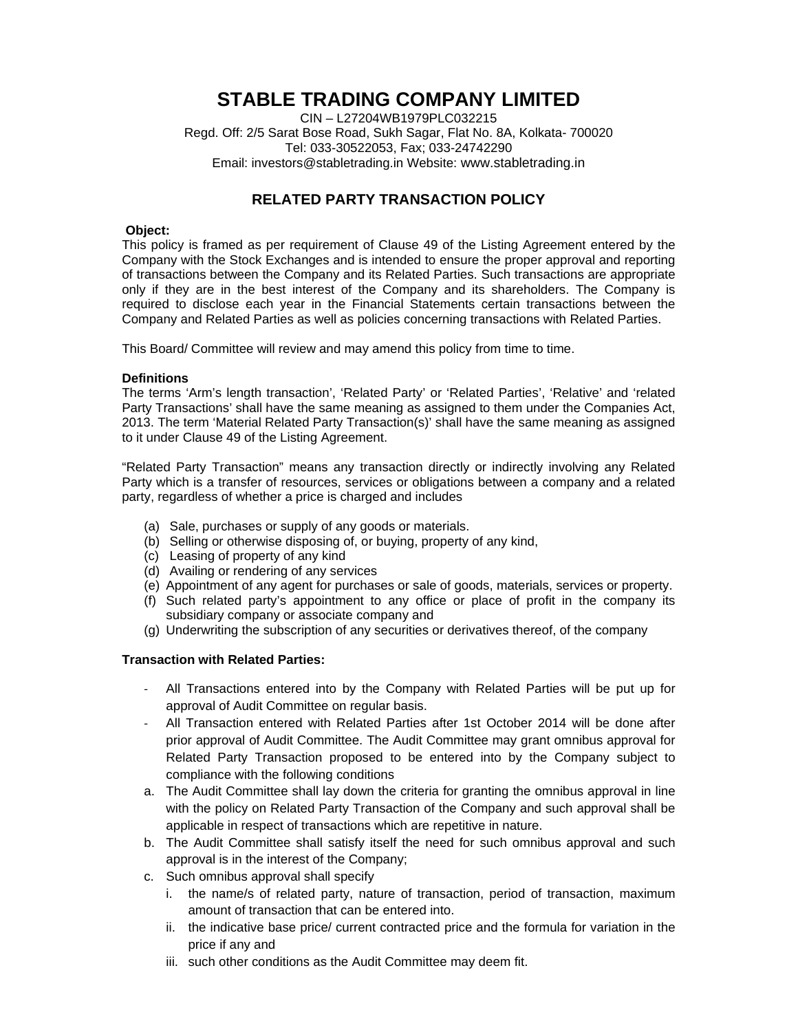# **STABLE TRADING COMPANY LIMITED**

CIN – L27204WB1979PLC032215 Regd. Off: 2/5 Sarat Bose Road, Sukh Sagar, Flat No. 8A, Kolkata- 700020 Tel: 033-30522053, Fax; 033-24742290 Email: investors@stabletrading.in Website: www.stabletrading.in

## **RELATED PARTY TRANSACTION POLICY**

#### **Object:**

This policy is framed as per requirement of Clause 49 of the Listing Agreement entered by the Company with the Stock Exchanges and is intended to ensure the proper approval and reporting of transactions between the Company and its Related Parties. Such transactions are appropriate only if they are in the best interest of the Company and its shareholders. The Company is required to disclose each year in the Financial Statements certain transactions between the Company and Related Parties as well as policies concerning transactions with Related Parties.

This Board/ Committee will review and may amend this policy from time to time.

#### **Definitions**

The terms 'Arm's length transaction', 'Related Party' or 'Related Parties', 'Relative' and 'related Party Transactions' shall have the same meaning as assigned to them under the Companies Act, 2013. The term 'Material Related Party Transaction(s)' shall have the same meaning as assigned to it under Clause 49 of the Listing Agreement.

"Related Party Transaction" means any transaction directly or indirectly involving any Related Party which is a transfer of resources, services or obligations between a company and a related party, regardless of whether a price is charged and includes

- (a) Sale, purchases or supply of any goods or materials.
- (b) Selling or otherwise disposing of, or buying, property of any kind,
- (c) Leasing of property of any kind
- (d) Availing or rendering of any services
- (e) Appointment of any agent for purchases or sale of goods, materials, services or property.
- (f) Such related party's appointment to any office or place of profit in the company its subsidiary company or associate company and
- (g) Underwriting the subscription of any securities or derivatives thereof, of the company

### **Transaction with Related Parties:**

- ‐ All Transactions entered into by the Company with Related Parties will be put up for approval of Audit Committee on regular basis.
- ‐ All Transaction entered with Related Parties after 1st October 2014 will be done after prior approval of Audit Committee. The Audit Committee may grant omnibus approval for Related Party Transaction proposed to be entered into by the Company subject to compliance with the following conditions
- a. The Audit Committee shall lay down the criteria for granting the omnibus approval in line with the policy on Related Party Transaction of the Company and such approval shall be applicable in respect of transactions which are repetitive in nature.
- b. The Audit Committee shall satisfy itself the need for such omnibus approval and such approval is in the interest of the Company;
- c. Such omnibus approval shall specify
	- i. the name/s of related party, nature of transaction, period of transaction, maximum amount of transaction that can be entered into.
	- ii. the indicative base price/ current contracted price and the formula for variation in the price if any and
	- iii. such other conditions as the Audit Committee may deem fit.